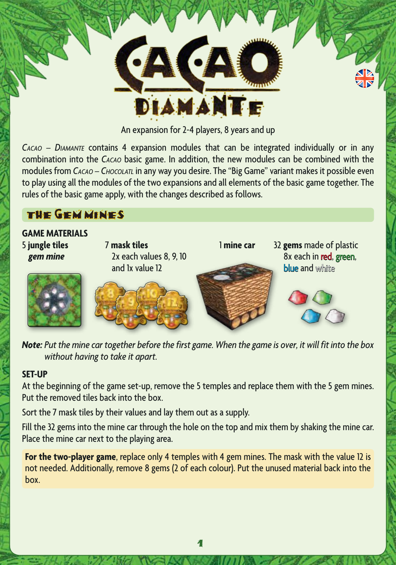

An expansion for 2-4 players, 8 years and up

*Cacao – Diamante* contains 4 expansion modules that can be integrated individually or in any combination into the *Cacao* basic game. In addition, the new modules can be combined with the modules from *Cacao – Chocolatl* in any way you desire. The "Big Game" variant makes it possible even to play using all the modules of the two expansions and all elements of the basic game together. The rules of the basic game apply, with the changes described as follows.

# THE GEM MINES

**GAME MATERIALS** 5 **jungle tiles** 7 **mask tiles** 1 **mine car** 32 **gems** made of plastic 2x each values 8, 9, 10 8x each in red, green,<br>and 1x value 12<br>**blue** and white and 1x value 12 blue and white

*Note: Put the mine car together before the first game. When the game is over, it will fit into the box without having to take it apart.*

### **SET-UP**

At the beginning of the game set-up, remove the 5 temples and replace them with the 5 gem mines. Put the removed tiles back into the box.

Sort the 7 mask tiles by their values and lay them out as a supply.

Fill the 32 gems into the mine car through the hole on the top and mix them by shaking the mine car. Place the mine car next to the playing area.

**For the two-player game**, replace only 4 temples with 4 gem mines. The mask with the value 12 is not needed. Additionally, remove 8 gems (2 of each colour). Put the unused material back into the box.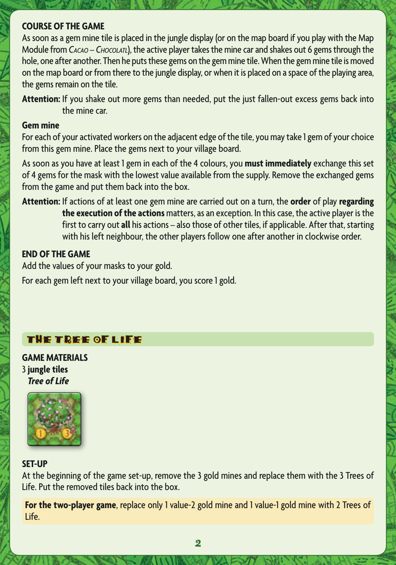### **COURSE OF THE GAME**

As soon as a gem mine tile is placed in the jungle display (or on the map board if you play with the Map Module from *Cacao – Chocolatl*), the active player takes the mine car and shakes out 6 gems through the hole, one after another. Then he puts these gems on the gem mine tile. When the gem mine tile is moved on the map board or from there to the jungle display, or when it is placed on a space of the playing area, the gems remain on the tile.

**Attention:** If you shake out more gems than needed, put the just fallen-out excess gems back into the mine car.

#### **Gem mine**

For each of your activated workers on the adjacent edge of the tile, you may take 1 gem of your choice from this gem mine. Place the gems next to your village board.

As soon as you have at least 1 gem in each of the 4 colours, you **must immediately** exchange this set of 4 gems for the mask with the lowest value available from the supply. Remove the exchanged gems from the game and put them back into the box.

**Attention:** If actions of at least one gem mine are carried out on a turn, the **order** of play **regarding the execution of the actions** matters, as an exception. In this case, the active player is the first to carry out **all** his actions – also those of other tiles, if applicable. After that, starting with his left neighbour, the other players follow one after another in clockwise order.

#### **END OF THE GAME**

Add the values of your masks to your gold.

For each gem left next to your village board, you score 1 gold.

### THE TREE OF LIFE

**GAME MATERIALS** 3 **jungle tiles**  *Tree of Life*



#### **SET-UP**

At the beginning of the game set-up, remove the 3 gold mines and replace them with the 3 Trees of Life. Put the removed tiles back into the box.

**For the two-player game**, replace only 1 value-2 gold mine and 1 value-1 gold mine with 2 Trees of Life.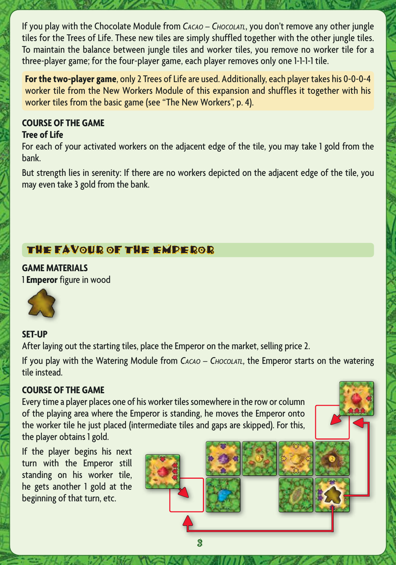If you play with the Chocolate Module from *CACAO - CHOCOLATL*, you don't remove any other jungle tiles for the Trees of Life. These new tiles are simply shuffled together with the other jungle tiles. To maintain the balance between jungle tiles and worker tiles, you remove no worker tile for a three-player game; for the four-player game, each player removes only one 1-1-1-1 tile.

**For the two-player game**, only 2 Trees of Life are used. Additionally, each player takes his 0-0-0-4 worker tile from the New Workers Module of this expansion and shuffles it together with his worker tiles from the basic game (see "The New Workers", p. 4).

# **COURSE OF THE GAME**

## **Tree of Life**

For each of your activated workers on the adjacent edge of the tile, you may take 1 gold from the bank.

But strength lies in serenity: If there are no workers depicted on the adjacent edge of the tile, you may even take 3 gold from the bank.

# THE FAVOUR OF THE EMPEROR

**GAME MATERIALS** 1 **Emperor** figure in wood



## **SET-UP**

After laying out the starting tiles, place the Emperor on the market, selling price 2.

If you play with the Watering Module from *CACAO – CHOCOLATL*, the Emperor starts on the watering tile instead.

## **COURSE OF THE GAME**

Every time a player places one of his worker tiles somewhere in the row or column of the playing area where the Emperor is standing, he moves the Emperor onto the worker tile he just placed (intermediate tiles and gaps are skipped). For this, the player obtains 1 gold.

If the player begins his next turn with the Emperor still standing on his worker tile, he gets another 1 gold at the beginning of that turn, etc.